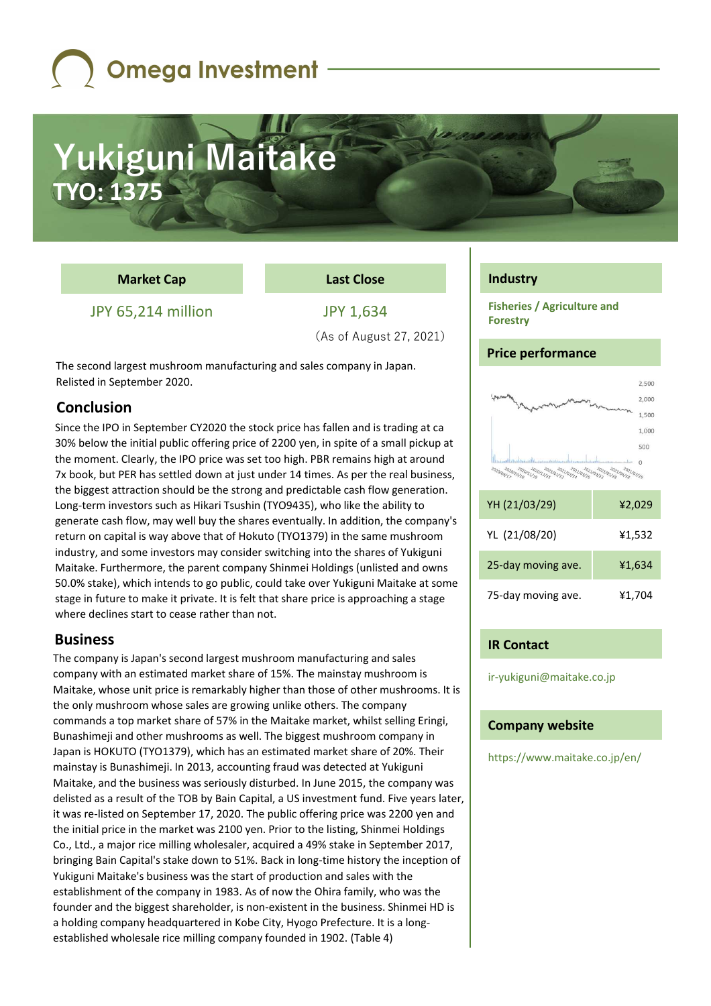## Yukiguni Maitake **TYO: 1375**

### **Market Cap**

**Last Close**

JPY 65,214 million

JPY 1,634 (As of August 27, 2021)

The second largest mushroom manufacturing and sales company in Japan. Relisted in September 2020.

### **Conclusion**

Since the IPO in September CY2020 the stock price has fallen and is trading at ca 30% below the initial public offering price of 2200 yen, in spite of a small pickup at the moment. Clearly, the IPO price was set too high. PBR remains high at around 7x book, but PER has settled down at just under 14 times. As per the real business, the biggest attraction should be the strong and predictable cash flow generation. Long-term investors such as Hikari Tsushin (TYO9435), who like the ability to generate cash flow, may well buy the shares eventually. In addition, the company's return on capital is way above that of Hokuto (TYO1379) in the same mushroom industry, and some investors may consider switching into the shares of Yukiguni Maitake. Furthermore, the parent company Shinmei Holdings (unlisted and owns 50.0% stake), which intends to go public, could take over Yukiguni Maitake at some stage in future to make it private. It is felt that share price is approaching a stage where declines start to cease rather than not.

### **Business**

The company is Japan's second largest mushroom manufacturing and sales company with an estimated market share of 15%. The mainstay mushroom is Maitake, whose unit price is remarkably higher than those of other mushrooms. It is the only mushroom whose sales are growing unlike others. The company commands a top market share of 57% in the Maitake market, whilst selling Eringi, Bunashimeji and other mushrooms as well. The biggest mushroom company in Japan is HOKUTO (TYO1379), which has an estimated market share of 20%. Their mainstay is Bunashimeji. In 2013, accounting fraud was detected at Yukiguni Maitake, and the business was seriously disturbed. In June 2015, the company was delisted as a result of the TOB by Bain Capital, a US investment fund. Five years later, it was re-listed on September 17, 2020. The public offering price was 2200 yen and the initial price in the market was 2100 yen. Prior to the listing, Shinmei Holdings Co., Ltd., a major rice milling wholesaler, acquired a 49% stake in September 2017, bringing Bain Capital's stake down to 51%. Back in long-time history the inception of Yukiguni Maitake's business was the start of production and sales with the establishment of the company in 1983. As of now the Ohira family, who was the founder and the biggest shareholder, is non-existent in the business. Shinmei HD is a holding company headquartered in Kobe City, Hyogo Prefecture. It is a longestablished wholesale rice milling company founded in 1902. (Table 4)

### **Industry**

**Fisheries / Agriculture and Forestry**

### **Price performance**



| YH (21/03/29)      | ¥2,029 |
|--------------------|--------|
| YL (21/08/20)      | ¥1,532 |
| 25-day moving ave. | ¥1,634 |
| 75-day moving ave. | ¥1,704 |

### **IR Contact**

ir-yukiguni@maitake.co.jp

### **Company website**

https://www.maitake.co.jp/en/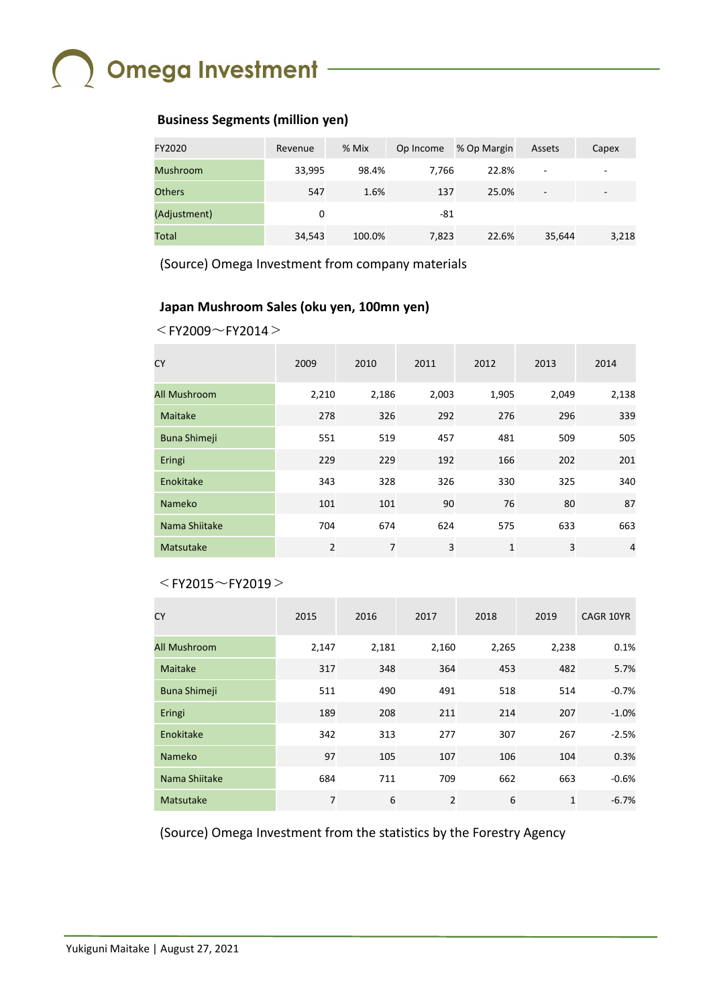### **Business Segments (million yen)**

| FY2020          | Revenue | % Mix  | Op Income | % Op Margin | Assets                   | Capex |
|-----------------|---------|--------|-----------|-------------|--------------------------|-------|
| <b>Mushroom</b> | 33,995  | 98.4%  | 7.766     | 22.8%       | $\overline{\phantom{a}}$ |       |
| <b>Others</b>   | 547     | 1.6%   | 137       | 25.0%       | $\overline{\phantom{a}}$ | -     |
| (Adjustment)    | 0       |        | -81       |             |                          |       |
| Total           | 34,543  | 100.0% | 7,823     | 22.6%       | 35,644                   | 3,218 |

(Source) Omega Investment from company materials

### **Japan Mushroom Sales (oku yen, 100mn yen)**

```
<FY2009\simFY2014>
```

| <b>CY</b>           | 2009           | 2010           | 2011  | 2012  | 2013  | 2014           |
|---------------------|----------------|----------------|-------|-------|-------|----------------|
| All Mushroom        | 2,210          | 2,186          | 2,003 | 1,905 | 2,049 | 2,138          |
| Maitake             | 278            | 326            | 292   | 276   | 296   | 339            |
| <b>Buna Shimeji</b> | 551            | 519            | 457   | 481   | 509   | 505            |
| Eringi              | 229            | 229            | 192   | 166   | 202   | 201            |
| Enokitake           | 343            | 328            | 326   | 330   | 325   | 340            |
| <b>Nameko</b>       | 101            | 101            | 90    | 76    | 80    | 87             |
| Nama Shiitake       | 704            | 674            | 624   | 575   | 633   | 663            |
| Matsutake           | $\overline{2}$ | $\overline{7}$ | 3     | 1     | 3     | $\overline{4}$ |

### $<$ FY2015 $\sim$ FY2019 $>$

| <b>CY</b>           | 2015  | 2016  | 2017           | 2018  | 2019         | <b>CAGR 10YR</b> |
|---------------------|-------|-------|----------------|-------|--------------|------------------|
| All Mushroom        | 2,147 | 2,181 | 2,160          | 2,265 | 2,238        | 0.1%             |
| Maitake             | 317   | 348   | 364            | 453   | 482          | 5.7%             |
| <b>Buna Shimeji</b> | 511   | 490   | 491            | 518   | 514          | $-0.7%$          |
| Eringi              | 189   | 208   | 211            | 214   | 207          | $-1.0%$          |
| Enokitake           | 342   | 313   | 277            | 307   | 267          | $-2.5%$          |
| <b>Nameko</b>       | 97    | 105   | 107            | 106   | 104          | 0.3%             |
| Nama Shiitake       | 684   | 711   | 709            | 662   | 663          | $-0.6%$          |
| Matsutake           | 7     | 6     | $\overline{2}$ | 6     | $\mathbf{1}$ | $-6.7%$          |

(Source) Omega Investment from the statistics by the Forestry Agency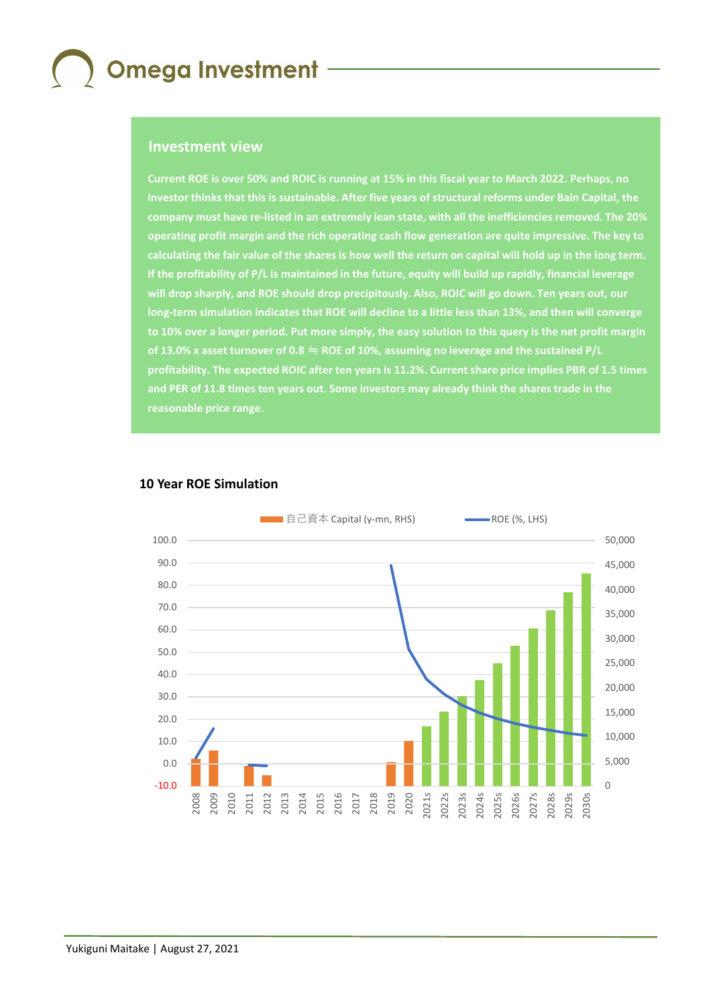#### **Investment view**

**Current ROE is over 50% and ROIC is running at 15% in this fiscal year to March 2022. Perhaps, no investor thinks that this is sustainable. After five years of structural reforms under Bain Capital, the company must have re-listed in an extremely lean state, with all the inefficiencies removed. The 20% operating profit margin and the rich operating cash flow generation are quite impressive. The key to calculating the fair value of the shares is how well the return on capital will hold up in the long term. If the profitability of P/L is maintained in the future, equity will build up rapidly, financial leverage will drop sharply, and ROE should drop precipitously. Also, ROIC will go down. Ten years out, our long-term simulation indicates that ROE will decline to a little less than 13%, and then will converge to 10% over a longer period. Put more simply, the easy solution to this query is the net profit margin of 13.0% x asset turnover of 0.8** ≒ **ROE of 10%, assuming no leverage and the sustained P/L profitability. The expected ROIC after ten years is 11.2%. Current share price implies PBR of 1.5 times and PER of 11.8 times ten years out. Some investors may already think the shares trade in the reasonable price range.**



#### **10 Year ROE Simulation**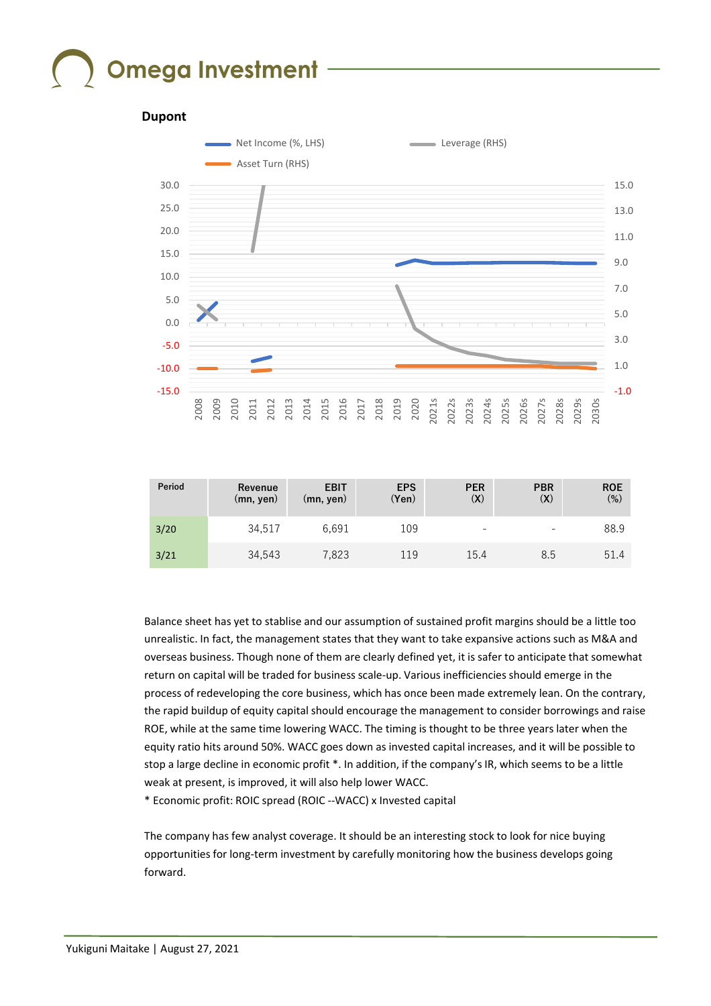

| Period | Revenue<br>$(mn,$ yen) | <b>EBIT</b><br>(mn, yen) | <b>EPS</b><br>(Yen) | <b>PER</b><br>(X) | <b>PBR</b><br>$\left( \mathsf{X}\right)$ | <b>ROE</b><br>$(\%)$ |
|--------|------------------------|--------------------------|---------------------|-------------------|------------------------------------------|----------------------|
| 3/20   | 34.517                 | 6.691                    | 109                 | ۰                 | $\qquad \qquad \blacksquare$             | 88.9                 |
| 3/21   | 34.543                 | 7.823                    | 119                 | 15.4              | 8.5                                      | 51.4                 |

Balance sheet has yet to stablise and our assumption of sustained profit margins should be a little too unrealistic. In fact, the management states that they want to take expansive actions such as M&A and overseas business. Though none of them are clearly defined yet, it is safer to anticipate that somewhat return on capital will be traded for business scale-up. Various inefficiencies should emerge in the process of redeveloping the core business, which has once been made extremely lean. On the contrary, the rapid buildup of equity capital should encourage the management to consider borrowings and raise ROE, while at the same time lowering WACC. The timing is thought to be three years later when the equity ratio hits around 50%. WACC goes down as invested capital increases, and it will be possible to stop a large decline in economic profit \*. In addition, if the company's IR, which seems to be a little weak at present, is improved, it will also help lower WACC.

\* Economic profit: ROIC spread (ROIC --WACC) x Invested capital

The company has few analyst coverage. It should be an interesting stock to look for nice buying opportunities for long-term investment by carefully monitoring how the business develops going forward.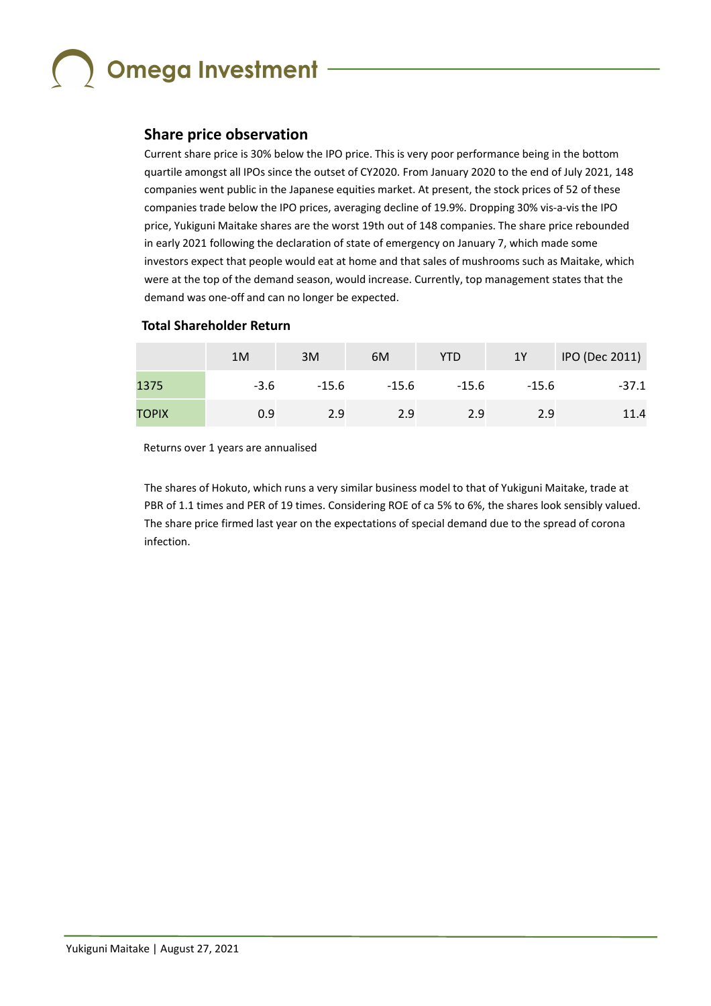### **Share price observation**

Current share price is 30% below the IPO price. This is very poor performance being in the bottom quartile amongst all IPOs since the outset of CY2020. From January 2020 to the end of July 2021, 148 companies went public in the Japanese equities market. At present, the stock prices of 52 of these companies trade below the IPO prices, averaging decline of 19.9%. Dropping 30% vis-a-vis the IPO price, Yukiguni Maitake shares are the worst 19th out of 148 companies. The share price rebounded in early 2021 following the declaration of state of emergency on January 7, which made some investors expect that people would eat at home and that sales of mushrooms such as Maitake, which were at the top of the demand season, would increase. Currently, top management states that the demand was one-off and can no longer be expected.

### **Total Shareholder Return**

|              | 1M   | 3M    | 6M    | YTD     | 1Y      | IPO (Dec 2011) |
|--------------|------|-------|-------|---------|---------|----------------|
| 1375         | -3.6 | -15.6 | -15.6 | $-15.6$ | $-15.6$ | $-37.1$        |
| <b>TOPIX</b> | 0.9  | 2.9   | 2.9   | 2.9     | 2.9     | 11.4           |

Returns over 1 years are annualised

The shares of Hokuto, which runs a very similar business model to that of Yukiguni Maitake, trade at PBR of 1.1 times and PER of 19 times. Considering ROE of ca 5% to 6%, the shares look sensibly valued. The share price firmed last year on the expectations of special demand due to the spread of corona infection.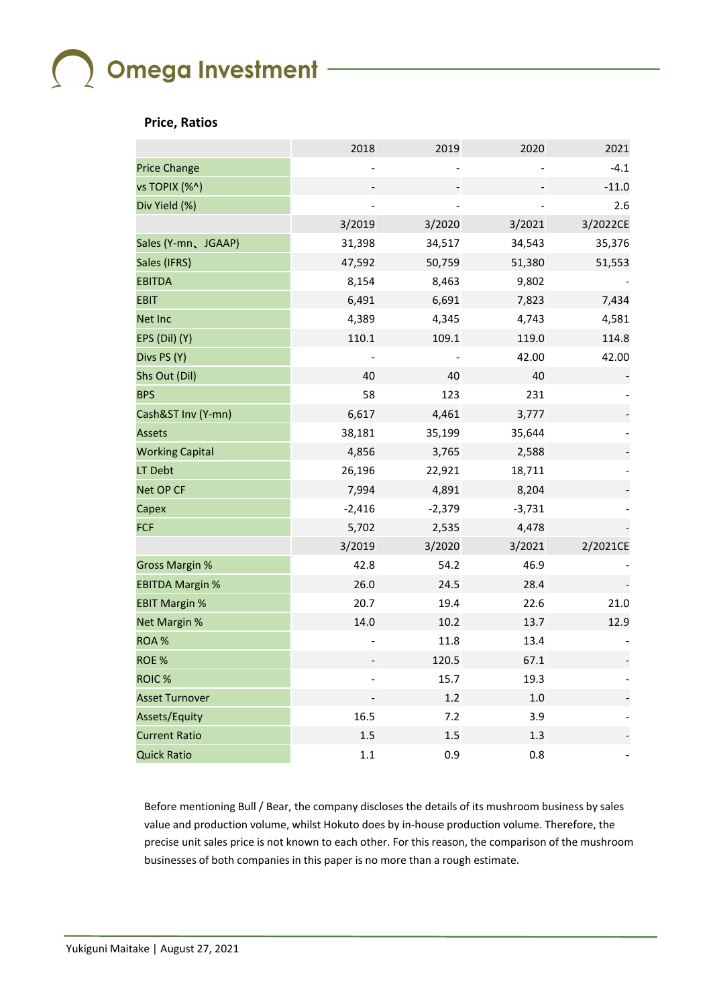#### **Price, Ratios**

|                        | 2018     | 2019     | 2020     | 2021     |
|------------------------|----------|----------|----------|----------|
| <b>Price Change</b>    |          |          |          | $-4.1$   |
| vs TOPIX (%^)          |          |          |          | $-11.0$  |
| Div Yield (%)          |          |          |          | 2.6      |
|                        | 3/2019   | 3/2020   | 3/2021   | 3/2022CE |
| Sales (Y-mn、JGAAP)     | 31,398   | 34,517   | 34,543   | 35,376   |
| Sales (IFRS)           | 47,592   | 50,759   | 51,380   | 51,553   |
| <b>EBITDA</b>          | 8,154    | 8,463    | 9,802    |          |
| <b>EBIT</b>            | 6,491    | 6,691    | 7,823    | 7,434    |
| Net Inc                | 4,389    | 4,345    | 4,743    | 4,581    |
| EPS (Dil) (Y)          | 110.1    | 109.1    | 119.0    | 114.8    |
| Divs PS (Y)            |          |          | 42.00    | 42.00    |
| Shs Out (Dil)          | 40       | 40       | 40       |          |
| <b>BPS</b>             | 58       | 123      | 231      |          |
| Cash&ST Inv (Y-mn)     | 6,617    | 4,461    | 3,777    |          |
| <b>Assets</b>          | 38,181   | 35,199   | 35,644   |          |
| <b>Working Capital</b> | 4,856    | 3,765    | 2,588    |          |
| LT Debt                | 26,196   | 22,921   | 18,711   |          |
| Net OP CF              | 7,994    | 4,891    | 8,204    |          |
| Capex                  | $-2,416$ | $-2,379$ | $-3,731$ |          |
| <b>FCF</b>             | 5,702    | 2,535    | 4,478    |          |
|                        | 3/2019   | 3/2020   | 3/2021   | 2/2021CE |
| <b>Gross Margin %</b>  | 42.8     | 54.2     | 46.9     |          |
| <b>EBITDA Margin %</b> | 26.0     | 24.5     | 28.4     |          |
| <b>EBIT Margin %</b>   | 20.7     | 19.4     | 22.6     | 21.0     |
| Net Margin %           | 14.0     | 10.2     | 13.7     | 12.9     |
| ROA%                   |          | 11.8     | 13.4     |          |
| ROE%                   |          | 120.5    | 67.1     |          |
| ROIC <sup>%</sup>      |          | 15.7     | 19.3     |          |
| <b>Asset Turnover</b>  |          | 1.2      | $1.0$    |          |
| Assets/Equity          | 16.5     | 7.2      | 3.9      |          |
| <b>Current Ratio</b>   | 1.5      | 1.5      | 1.3      |          |
| <b>Quick Ratio</b>     | $1.1\,$  | 0.9      | 0.8      |          |

Before mentioning Bull / Bear, the company discloses the details of its mushroom business by sales value and production volume, whilst Hokuto does by in-house production volume. Therefore, the precise unit sales price is not known to each other. For this reason, the comparison of the mushroom businesses of both companies in this paper is no more than a rough estimate.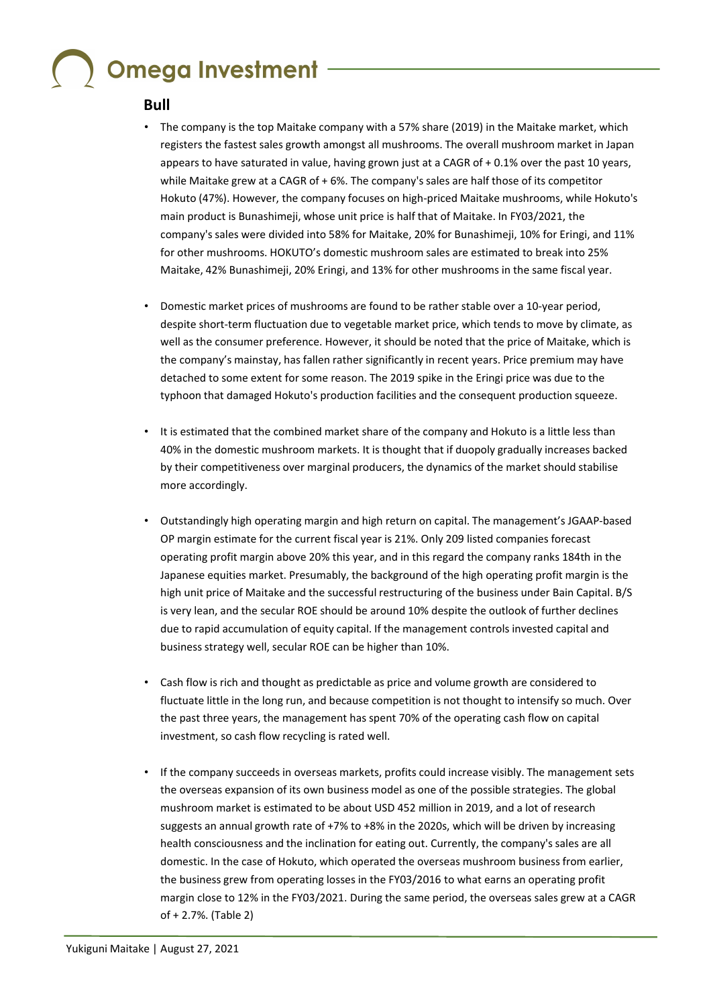### **Bull**

- The company is the top Maitake company with a 57% share (2019) in the Maitake market, which registers the fastest sales growth amongst all mushrooms. The overall mushroom market in Japan appears to have saturated in value, having grown just at a CAGR of + 0.1% over the past 10 years, while Maitake grew at a CAGR of + 6%. The company's sales are half those of its competitor Hokuto (47%). However, the company focuses on high-priced Maitake mushrooms, while Hokuto's main product is Bunashimeji, whose unit price is half that of Maitake. In FY03/2021, the company's sales were divided into 58% for Maitake, 20% for Bunashimeji, 10% for Eringi, and 11% for other mushrooms. HOKUTO's domestic mushroom sales are estimated to break into 25% Maitake, 42% Bunashimeji, 20% Eringi, and 13% for other mushrooms in the same fiscal year.
- Domestic market prices of mushrooms are found to be rather stable over a 10-year period, despite short-term fluctuation due to vegetable market price, which tends to move by climate, as well as the consumer preference. However, it should be noted that the price of Maitake, which is the company's mainstay, has fallen rather significantly in recent years. Price premium may have detached to some extent for some reason. The 2019 spike in the Eringi price was due to the typhoon that damaged Hokuto's production facilities and the consequent production squeeze.
- It is estimated that the combined market share of the company and Hokuto is a little less than 40% in the domestic mushroom markets. It is thought that if duopoly gradually increases backed by their competitiveness over marginal producers, the dynamics of the market should stabilise more accordingly.
- Outstandingly high operating margin and high return on capital. The management's JGAAP-based OP margin estimate for the current fiscal year is 21%. Only 209 listed companies forecast operating profit margin above 20% this year, and in this regard the company ranks 184th in the Japanese equities market. Presumably, the background of the high operating profit margin is the high unit price of Maitake and the successful restructuring of the business under Bain Capital. B/S is very lean, and the secular ROE should be around 10% despite the outlook of further declines due to rapid accumulation of equity capital. If the management controls invested capital and business strategy well, secular ROE can be higher than 10%.
- Cash flow is rich and thought as predictable as price and volume growth are considered to fluctuate little in the long run, and because competition is not thought to intensify so much. Over the past three years, the management has spent 70% of the operating cash flow on capital investment, so cash flow recycling is rated well.
- If the company succeeds in overseas markets, profits could increase visibly. The management sets the overseas expansion of its own business model as one of the possible strategies. The global mushroom market is estimated to be about USD 452 million in 2019, and a lot of research suggests an annual growth rate of +7% to +8% in the 2020s, which will be driven by increasing health consciousness and the inclination for eating out. Currently, the company's sales are all domestic. In the case of Hokuto, which operated the overseas mushroom business from earlier, the business grew from operating losses in the FY03/2016 to what earns an operating profit margin close to 12% in the FY03/2021. During the same period, the overseas sales grew at a CAGR of + 2.7%. (Table 2)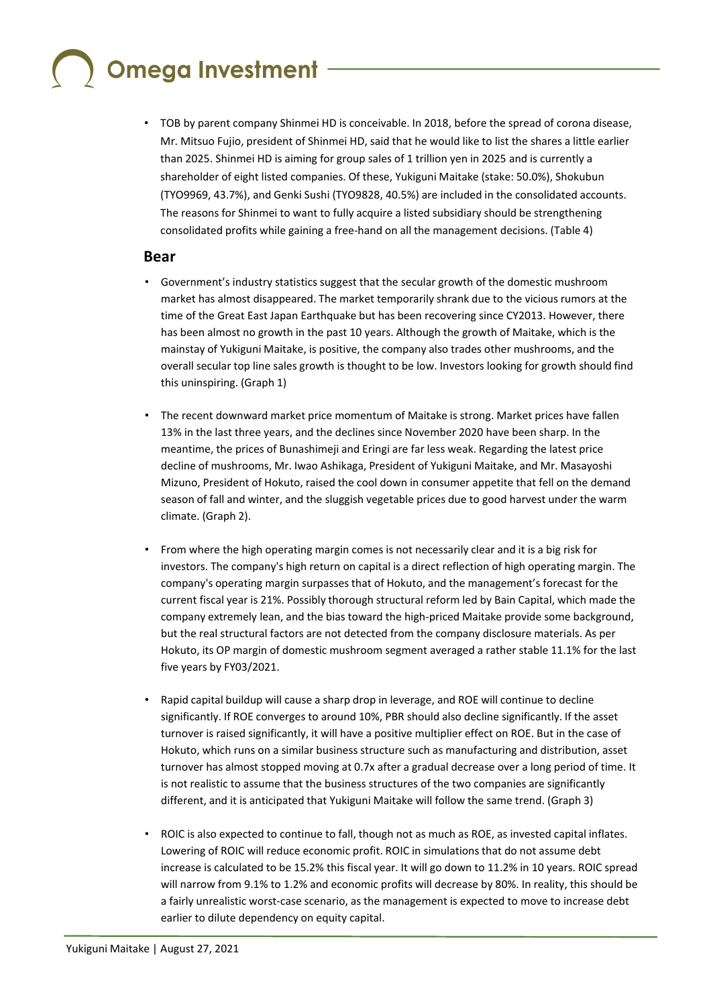• TOB by parent company Shinmei HD is conceivable. In 2018, before the spread of corona disease, Mr. Mitsuo Fujio, president of Shinmei HD, said that he would like to list the shares a little earlier than 2025. Shinmei HD is aiming for group sales of 1 trillion yen in 2025 and is currently a shareholder of eight listed companies. Of these, Yukiguni Maitake (stake: 50.0%), Shokubun (TYO9969, 43.7%), and Genki Sushi (TYO9828, 40.5%) are included in the consolidated accounts. The reasons for Shinmei to want to fully acquire a listed subsidiary should be strengthening consolidated profits while gaining a free-hand on all the management decisions. (Table 4)

### **Bear**

- Government's industry statistics suggest that the secular growth of the domestic mushroom market has almost disappeared. The market temporarily shrank due to the vicious rumors at the time of the Great East Japan Earthquake but has been recovering since CY2013. However, there has been almost no growth in the past 10 years. Although the growth of Maitake, which is the mainstay of Yukiguni Maitake, is positive, the company also trades other mushrooms, and the overall secular top line sales growth is thought to be low. Investors looking for growth should find this uninspiring. (Graph 1)
- The recent downward market price momentum of Maitake is strong. Market prices have fallen 13% in the last three years, and the declines since November 2020 have been sharp. In the meantime, the prices of Bunashimeji and Eringi are far less weak. Regarding the latest price decline of mushrooms, Mr. Iwao Ashikaga, President of Yukiguni Maitake, and Mr. Masayoshi Mizuno, President of Hokuto, raised the cool down in consumer appetite that fell on the demand season of fall and winter, and the sluggish vegetable prices due to good harvest under the warm climate. (Graph 2).
- From where the high operating margin comes is not necessarily clear and it is a big risk for investors. The company's high return on capital is a direct reflection of high operating margin. The company's operating margin surpasses that of Hokuto, and the management's forecast for the current fiscal year is 21%. Possibly thorough structural reform led by Bain Capital, which made the company extremely lean, and the bias toward the high-priced Maitake provide some background, but the real structural factors are not detected from the company disclosure materials. As per Hokuto, its OP margin of domestic mushroom segment averaged a rather stable 11.1% for the last five years by FY03/2021.
- Rapid capital buildup will cause a sharp drop in leverage, and ROE will continue to decline significantly. If ROE converges to around 10%, PBR should also decline significantly. If the asset turnover is raised significantly, it will have a positive multiplier effect on ROE. But in the case of Hokuto, which runs on a similar business structure such as manufacturing and distribution, asset turnover has almost stopped moving at 0.7x after a gradual decrease over a long period of time. It is not realistic to assume that the business structures of the two companies are significantly different, and it is anticipated that Yukiguni Maitake will follow the same trend. (Graph 3)
- ROIC is also expected to continue to fall, though not as much as ROE, as invested capital inflates. Lowering of ROIC will reduce economic profit. ROIC in simulations that do not assume debt increase is calculated to be 15.2% this fiscal year. It will go down to 11.2% in 10 years. ROIC spread will narrow from 9.1% to 1.2% and economic profits will decrease by 80%. In reality, this should be a fairly unrealistic worst-case scenario, as the management is expected to move to increase debt earlier to dilute dependency on equity capital.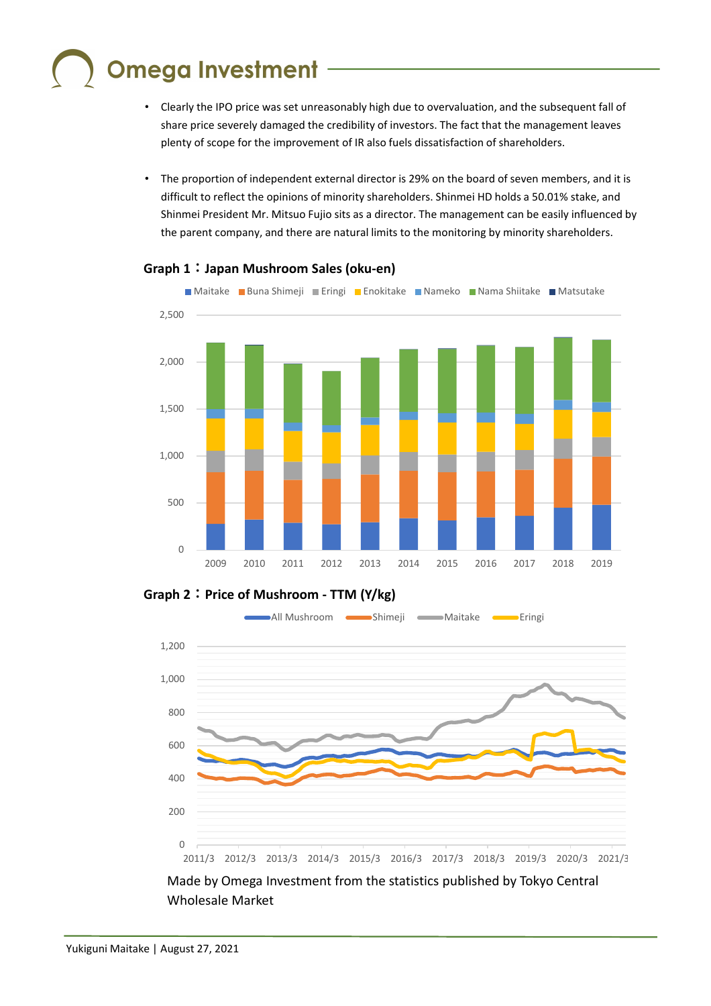- Clearly the IPO price was set unreasonably high due to overvaluation, and the subsequent fall of share price severely damaged the credibility of investors. The fact that the management leaves plenty of scope for the improvement of IR also fuels dissatisfaction of shareholders.
- The proportion of independent external director is 29% on the board of seven members, and it is difficult to reflect the opinions of minority shareholders. Shinmei HD holds a 50.01% stake, and Shinmei President Mr. Mitsuo Fujio sits as a director. The management can be easily influenced by the parent company, and there are natural limits to the monitoring by minority shareholders.



### **Graph 1**:**Japan Mushroom Sales (oku-en)**

**Graph 2**:**Price of Mushroom - TTM (Y/kg)**



Made by Omega Investment from the statistics published by Tokyo Central Wholesale Market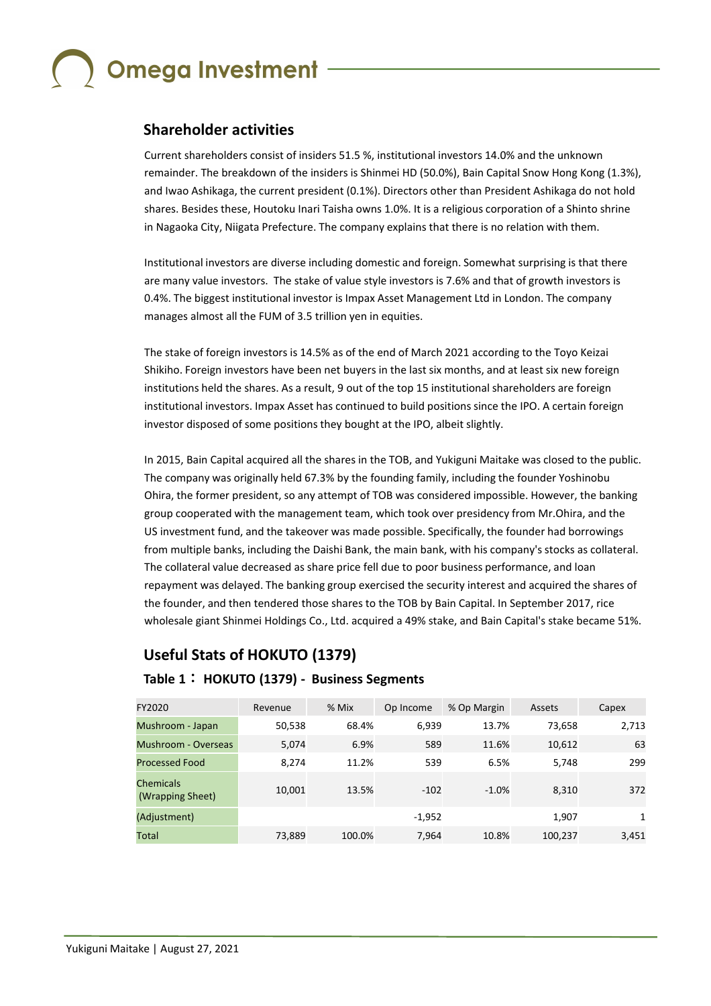### **Shareholder activities**

Current shareholders consist of insiders 51.5 %, institutional investors 14.0% and the unknown remainder. The breakdown of the insiders is Shinmei HD (50.0%), Bain Capital Snow Hong Kong (1.3%), and Iwao Ashikaga, the current president (0.1%). Directors other than President Ashikaga do not hold shares. Besides these, Houtoku Inari Taisha owns 1.0%. It is a religious corporation of a Shinto shrine in Nagaoka City, Niigata Prefecture. The company explains that there is no relation with them.

Institutional investors are diverse including domestic and foreign. Somewhat surprising is that there are many value investors. The stake of value style investors is 7.6% and that of growth investors is 0.4%. The biggest institutional investor is Impax Asset Management Ltd in London. The company manages almost all the FUM of 3.5 trillion yen in equities.

The stake of foreign investors is 14.5% as of the end of March 2021 according to the Toyo Keizai Shikiho. Foreign investors have been net buyers in the last six months, and at least six new foreign institutions held the shares. As a result, 9 out of the top 15 institutional shareholders are foreign institutional investors. Impax Asset has continued to build positions since the IPO. A certain foreign investor disposed of some positions they bought at the IPO, albeit slightly.

In 2015, Bain Capital acquired all the shares in the TOB, and Yukiguni Maitake was closed to the public. The company was originally held 67.3% by the founding family, including the founder Yoshinobu Ohira, the former president, so any attempt of TOB was considered impossible. However, the banking group cooperated with the management team, which took over presidency from Mr.Ohira, and the US investment fund, and the takeover was made possible. Specifically, the founder had borrowings from multiple banks, including the Daishi Bank, the main bank, with his company's stocks as collateral. The collateral value decreased as share price fell due to poor business performance, and loan repayment was delayed. The banking group exercised the security interest and acquired the shares of the founder, and then tendered those shares to the TOB by Bain Capital. In September 2017, rice wholesale giant Shinmei Holdings Co., Ltd. acquired a 49% stake, and Bain Capital's stake became 51%.

### **Useful Stats of HOKUTO (1379)**

### **Table 1**: **HOKUTO (1379) - Business Segments**

| FY2020                               | Revenue | % Mix  | Op Income | % Op Margin | Assets  | Capex |
|--------------------------------------|---------|--------|-----------|-------------|---------|-------|
| Mushroom - Japan                     | 50,538  | 68.4%  | 6,939     | 13.7%       | 73,658  | 2,713 |
| Mushroom - Overseas                  | 5,074   | 6.9%   | 589       | 11.6%       | 10,612  | 63    |
| <b>Processed Food</b>                | 8.274   | 11.2%  | 539       | 6.5%        | 5,748   | 299   |
| <b>Chemicals</b><br>(Wrapping Sheet) | 10,001  | 13.5%  | $-102$    | $-1.0%$     | 8,310   | 372   |
| (Adjustment)                         |         |        | $-1,952$  |             | 1,907   | 1     |
| Total                                | 73,889  | 100.0% | 7.964     | 10.8%       | 100,237 | 3,451 |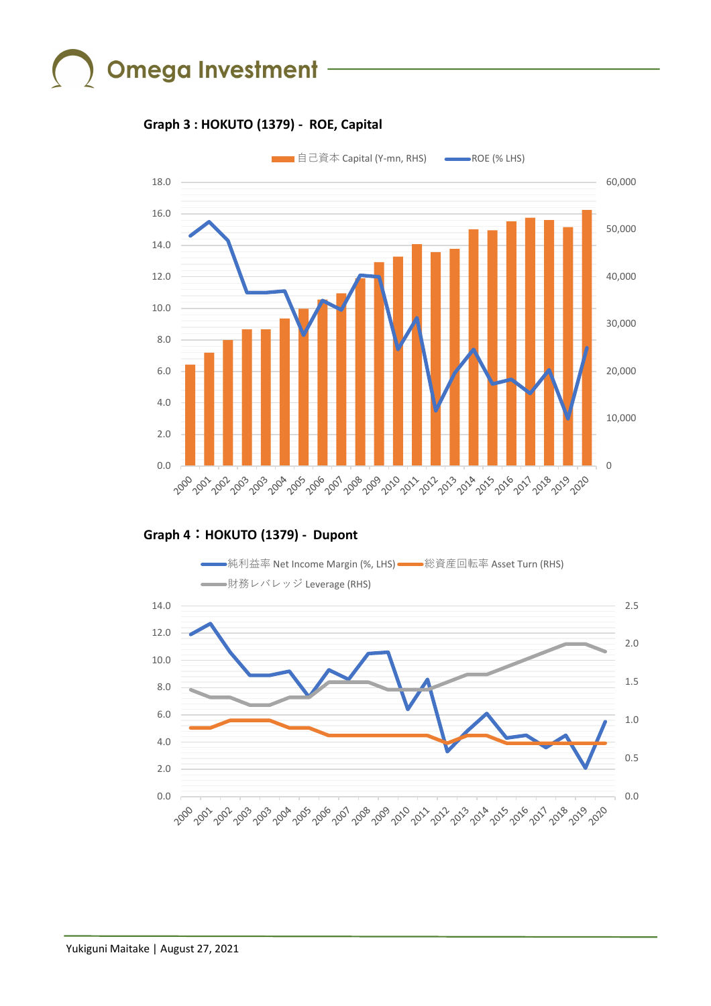### **Graph 3 : HOKUTO (1379) - ROE, Capital**



### **Graph 4**:**HOKUTO (1379) - Dupont**

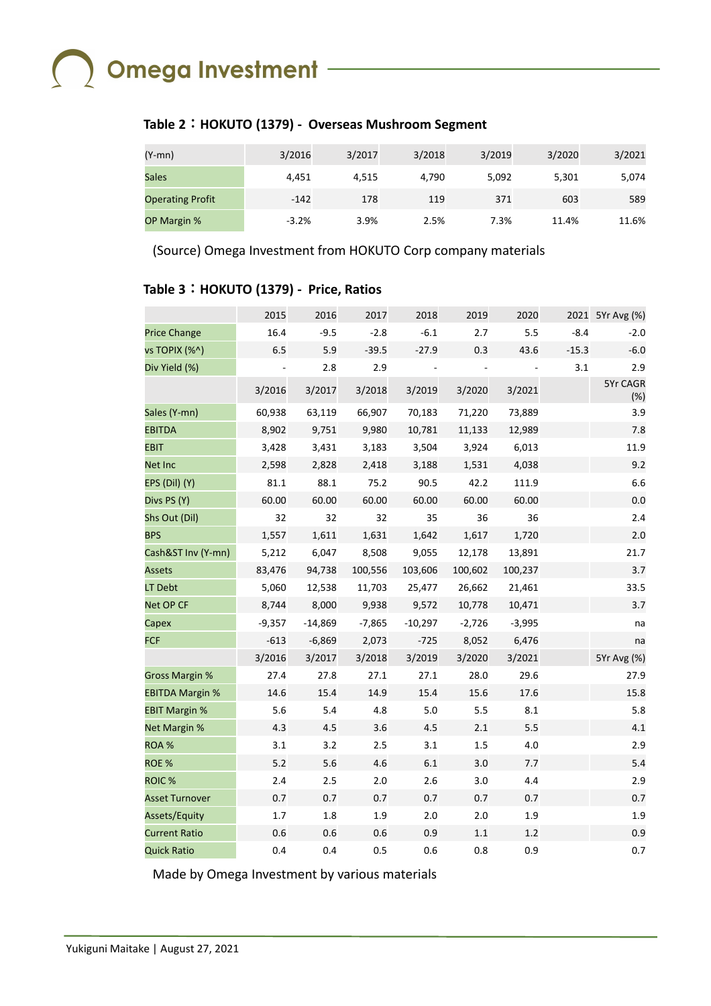## $\bigcap$  Omega Investment -

### **Table 2**:**HOKUTO (1379) - Overseas Mushroom Segment**

| (Y-mn)                  | 3/2016  | 3/2017 | 3/2018 | 3/2019 | 3/2020 | 3/2021 |
|-------------------------|---------|--------|--------|--------|--------|--------|
| <b>Sales</b>            | 4.451   | 4.515  | 4.790  | 5,092  | 5,301  | 5,074  |
| <b>Operating Profit</b> | $-142$  | 178    | 119    | 371    | 603    | 589    |
| OP Margin %             | $-3.2%$ | 3.9%   | 2.5%   | 7.3%   | 11.4%  | 11.6%  |

(Source) Omega Investment from HOKUTO Corp company materials

### **Table 3**:**HOKUTO (1379) - Price, Ratios**

|                        | 2015     | 2016      | 2017     | 2018      | 2019     | 2020     |         | 2021 5Yr Avg (%) |
|------------------------|----------|-----------|----------|-----------|----------|----------|---------|------------------|
| <b>Price Change</b>    | 16.4     | $-9.5$    | $-2.8$   | $-6.1$    | 2.7      | 5.5      | $-8.4$  | $-2.0$           |
| vs TOPIX (%^)          | 6.5      | 5.9       | $-39.5$  | $-27.9$   | 0.3      | 43.6     | $-15.3$ | $-6.0$           |
| Div Yield (%)          |          | 2.8       | 2.9      |           |          |          | 3.1     | 2.9              |
|                        | 3/2016   | 3/2017    | 3/2018   | 3/2019    | 3/2020   | 3/2021   |         | 5Yr CAGR<br>(%)  |
| Sales (Y-mn)           | 60,938   | 63,119    | 66,907   | 70,183    | 71,220   | 73,889   |         | 3.9              |
| <b>EBITDA</b>          | 8,902    | 9,751     | 9,980    | 10,781    | 11,133   | 12,989   |         | 7.8              |
| <b>EBIT</b>            | 3,428    | 3,431     | 3,183    | 3,504     | 3,924    | 6,013    |         | 11.9             |
| Net Inc                | 2,598    | 2,828     | 2,418    | 3,188     | 1,531    | 4,038    |         | 9.2              |
| EPS (Dil) (Y)          | 81.1     | 88.1      | 75.2     | 90.5      | 42.2     | 111.9    |         | 6.6              |
| Divs PS (Y)            | 60.00    | 60.00     | 60.00    | 60.00     | 60.00    | 60.00    |         | 0.0              |
| Shs Out (Dil)          | 32       | 32        | 32       | 35        | 36       | 36       |         | 2.4              |
| <b>BPS</b>             | 1,557    | 1,611     | 1,631    | 1,642     | 1,617    | 1,720    |         | 2.0              |
| Cash&ST Inv (Y-mn)     | 5,212    | 6,047     | 8,508    | 9,055     | 12,178   | 13,891   |         | 21.7             |
| <b>Assets</b>          | 83,476   | 94,738    | 100,556  | 103,606   | 100,602  | 100,237  |         | 3.7              |
| LT Debt                | 5,060    | 12,538    | 11,703   | 25,477    | 26,662   | 21,461   |         | 33.5             |
| Net OP CF              | 8,744    | 8,000     | 9,938    | 9,572     | 10,778   | 10,471   |         | 3.7              |
| Capex                  | $-9,357$ | $-14,869$ | $-7,865$ | $-10,297$ | $-2,726$ | $-3,995$ |         | na               |
| <b>FCF</b>             | $-613$   | $-6,869$  | 2,073    | $-725$    | 8,052    | 6,476    |         | na               |
|                        | 3/2016   | 3/2017    | 3/2018   | 3/2019    | 3/2020   | 3/2021   |         | 5Yr Avg (%)      |
| <b>Gross Margin %</b>  | 27.4     | 27.8      | 27.1     | 27.1      | 28.0     | 29.6     |         | 27.9             |
| <b>EBITDA Margin %</b> | 14.6     | 15.4      | 14.9     | 15.4      | 15.6     | 17.6     |         | 15.8             |
| <b>EBIT Margin %</b>   | 5.6      | 5.4       | 4.8      | 5.0       | 5.5      | 8.1      |         | 5.8              |
| Net Margin %           | 4.3      | 4.5       | 3.6      | 4.5       | 2.1      | 5.5      |         | 4.1              |
| ROA %                  | 3.1      | 3.2       | 2.5      | 3.1       | 1.5      | 4.0      |         | 2.9              |
| ROE %                  | 5.2      | 5.6       | 4.6      | 6.1       | 3.0      | 7.7      |         | 5.4              |
| <b>ROIC%</b>           | 2.4      | 2.5       | 2.0      | 2.6       | 3.0      | 4.4      |         | 2.9              |
| <b>Asset Turnover</b>  | 0.7      | 0.7       | 0.7      | 0.7       | 0.7      | 0.7      |         | 0.7              |
| Assets/Equity          | 1.7      | 1.8       | 1.9      | 2.0       | 2.0      | 1.9      |         | 1.9              |
| <b>Current Ratio</b>   | 0.6      | 0.6       | 0.6      | 0.9       | 1.1      | 1.2      |         | 0.9              |
| <b>Quick Ratio</b>     | 0.4      | 0.4       | 0.5      | 0.6       | 0.8      | 0.9      |         | 0.7              |

Made by Omega Investment by various materials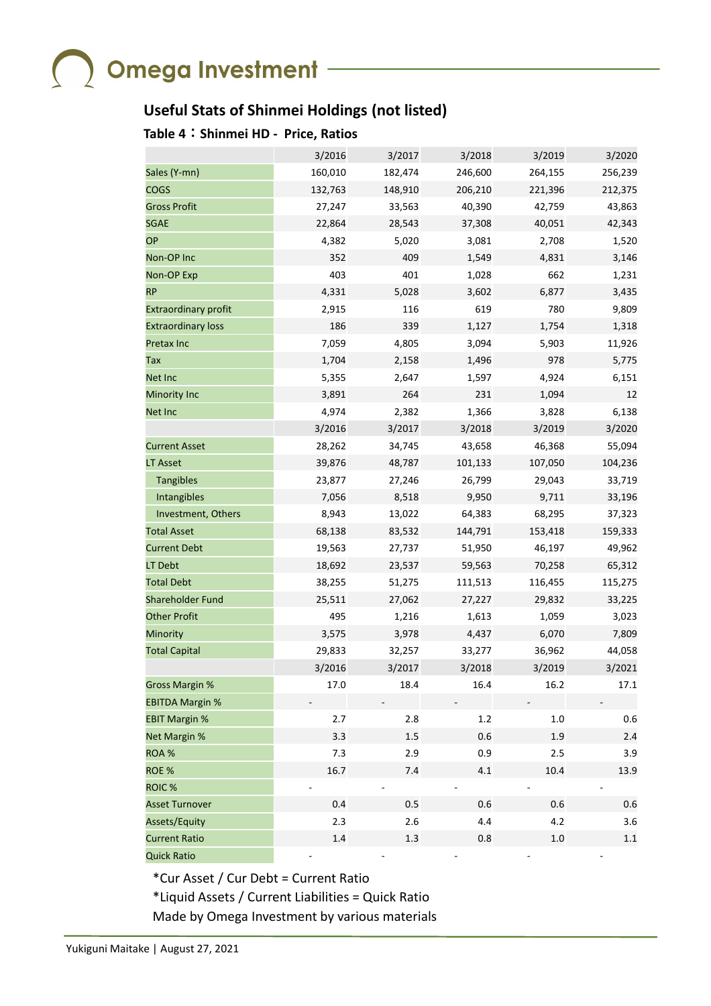### **Useful Stats of Shinmei Holdings (not listed)**

### **Table 4**:**Shinmei HD - Price, Ratios**

|                             | 3/2016  | 3/2017  | 3/2018  | 3/2019  | 3/2020  |
|-----------------------------|---------|---------|---------|---------|---------|
| Sales (Y-mn)                | 160,010 | 182,474 | 246,600 | 264,155 | 256,239 |
| <b>COGS</b>                 | 132,763 | 148,910 | 206,210 | 221,396 | 212,375 |
| <b>Gross Profit</b>         | 27,247  | 33,563  | 40,390  | 42,759  | 43,863  |
| <b>SGAE</b>                 | 22,864  | 28,543  | 37,308  | 40,051  | 42,343  |
| <b>OP</b>                   | 4,382   | 5,020   | 3,081   | 2,708   | 1,520   |
| Non-OP Inc                  | 352     | 409     | 1,549   | 4,831   | 3,146   |
| <b>Non-OP Exp</b>           | 403     | 401     | 1,028   | 662     | 1,231   |
| <b>RP</b>                   | 4,331   | 5,028   | 3,602   | 6,877   | 3,435   |
| <b>Extraordinary profit</b> | 2,915   | 116     | 619     | 780     | 9,809   |
| <b>Extraordinary loss</b>   | 186     | 339     | 1,127   | 1,754   | 1,318   |
| <b>Pretax Inc</b>           | 7,059   | 4,805   | 3,094   | 5,903   | 11,926  |
| Tax                         | 1,704   | 2,158   | 1,496   | 978     | 5,775   |
| <b>Net Inc</b>              | 5,355   | 2,647   | 1,597   | 4,924   | 6,151   |
| <b>Minority Inc</b>         | 3,891   | 264     | 231     | 1,094   | 12      |
| Net Inc                     | 4,974   | 2,382   | 1,366   | 3,828   | 6,138   |
|                             | 3/2016  | 3/2017  | 3/2018  | 3/2019  | 3/2020  |
| <b>Current Asset</b>        | 28,262  | 34,745  | 43,658  | 46,368  | 55,094  |
| <b>LT Asset</b>             | 39,876  | 48,787  | 101,133 | 107,050 | 104,236 |
| <b>Tangibles</b>            | 23,877  | 27,246  | 26,799  | 29,043  | 33,719  |
| Intangibles                 | 7,056   | 8,518   | 9,950   | 9,711   | 33,196  |
| Investment, Others          | 8,943   | 13,022  | 64,383  | 68,295  | 37,323  |
| <b>Total Asset</b>          | 68,138  | 83,532  | 144,791 | 153,418 | 159,333 |
| <b>Current Debt</b>         | 19,563  | 27,737  | 51,950  | 46,197  | 49,962  |
| LT Debt                     | 18,692  | 23,537  | 59,563  | 70,258  | 65,312  |
| <b>Total Debt</b>           | 38,255  | 51,275  | 111,513 | 116,455 | 115,275 |
| <b>Shareholder Fund</b>     | 25,511  | 27,062  | 27,227  | 29,832  | 33,225  |
| <b>Other Profit</b>         | 495     | 1,216   | 1,613   | 1,059   | 3,023   |
| Minority                    | 3,575   | 3,978   | 4,437   | 6,070   | 7,809   |
| <b>Total Capital</b>        | 29,833  | 32,257  | 33,277  | 36,962  | 44,058  |
|                             | 3/2016  | 3/2017  | 3/2018  | 3/2019  | 3/2021  |
| <b>Gross Margin %</b>       | 17.0    | 18.4    | 16.4    | 16.2    | 17.1    |
| <b>EBITDA Margin %</b>      |         |         |         |         |         |
| <b>EBIT Margin %</b>        | 2.7     | 2.8     | 1.2     | 1.0     | 0.6     |
| Net Margin %                | 3.3     | 1.5     | 0.6     | 1.9     | 2.4     |
| ROA %                       | 7.3     | 2.9     | 0.9     | 2.5     | 3.9     |
| ROE %                       | 16.7    | 7.4     | 4.1     | 10.4    | 13.9    |
| ROIC <sup>%</sup>           |         |         |         |         |         |
| <b>Asset Turnover</b>       | 0.4     | 0.5     | 0.6     | 0.6     | 0.6     |
| Assets/Equity               | 2.3     | 2.6     | 4.4     | 4.2     | 3.6     |
| <b>Current Ratio</b>        | 1.4     | 1.3     | 0.8     | 1.0     | 1.1     |
| <b>Quick Ratio</b>          |         |         |         |         |         |

\*Cur Asset / Cur Debt = Current Ratio

\*Liquid Assets / Current Liabilities = Quick Ratio Made by Omega Investment by various materials